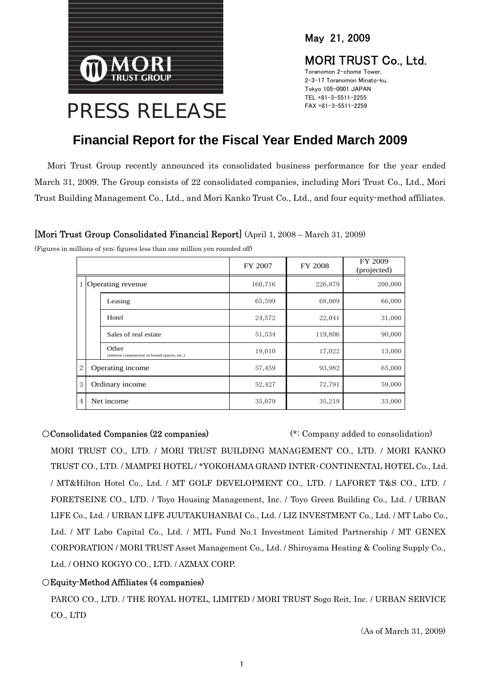

May 21, 2009

## MORI TRUST Co., Ltd.

Toranomon 2-chome Tower, 2-3-17 Toranomon Minato-ku, Tokyo 105-0001 JAPAN TEL +81-3-5511-2255 FAX +81-3-5511-2259

## **Financial Report for the Fiscal Year Ended March 2009**

Mori Trust Group recently announced its consolidated business performance for the year ended March 31, 2009. The Group consists of 22 consolidated companies, including Mori Trust Co., Ltd., Mori Trust Building Management Co., Ltd., and Mori Kanko Trust Co., Ltd., and four equity-method affiliates.

## [Mori Trust Group Consolidated Financial Report] (April 1, 2008 – March 31, 2009)

|                     |            |                                                         | FY 2007 | FY 2008 | FY 2009<br>(projected) |
|---------------------|------------|---------------------------------------------------------|---------|---------|------------------------|
| 1 Operating revenue |            |                                                         | 160,716 | 226,879 | 200,000                |
|                     |            | Leasing                                                 | 65,599  | 68,009  | 66,000                 |
|                     |            | Hotel                                                   | 24,572  | 22,041  | 31,000                 |
|                     |            | Sales of real estate                                    | 51,534  | 119,806 | 90,000                 |
|                     |            | Other<br>(interior construction in leased spaces, etc.) | 19,010  | 17,022  | 13,000                 |
| 2                   |            | Operating income                                        | 57,459  | 93,982  | 65,000                 |
| 3                   |            | Ordinary income                                         | 52,427  | 72,791  | 59,000                 |
| 4                   | Net income |                                                         | 35,079  | 35,219  | 33,000                 |

(Figures in millions of yen; figures less than one million yen rounded off)

○Consolidated Companies (22 companies) (\*: Company added to consolidation) MORI TRUST CO., LTD. / MORI TRUST BUILDING MANAGEMENT CO., LTD. / MORI KANKO TRUST CO., LTD. / MAMPEI HOTEL / \*YOKOHAMA GRAND INTER・CONTINENTAL HOTEL Co., Ltd. / MT&Hilton Hotel Co., Ltd. / MT GOLF DEVELOPMENT CO., LTD. / LAFORET T&S CO., LTD. / FORETSEINE CO., LTD. / Toyo Housing Management, Inc. / Toyo Green Building Co., Ltd. / URBAN LIFE Co., Ltd. / URBAN LIFE JUUTAKUHANBAI Co., Ltd. / LIZ INVESTMENT Co., Ltd. / MT Labo Co., Ltd. / MT Labo Capital Co., Ltd. / MTL Fund No.1 Investment Limited Partnership / MT GENEX CORPORATION / MORI TRUST Asset Management Co., Ltd. / Shiroyama Heating & Cooling Supply Co., Ltd. / OHNO KOGYO CO., LTD. / AZMAX CORP.

## ○Equity-Method Affiliates (4 companies)

PARCO CO., LTD. / THE ROYAL HOTEL, LIMITED / MORI TRUST Sogo Reit, Inc. / URBAN SERVICE CO., LTD

(As of March 31, 2009)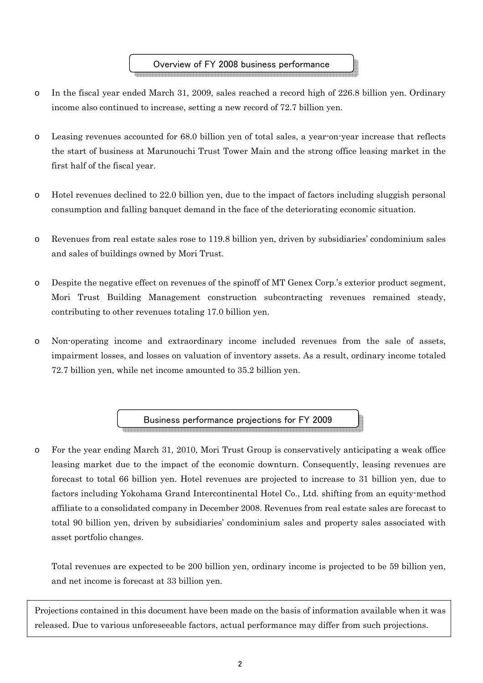- o In the fiscal year ended March 31, 2009, sales reached a record high of 226.8 billion yen. Ordinary income also continued to increase, setting a new record of 72.7 billion yen.
- o Leasing revenues accounted for 68.0 billion yen of total sales, a year-on-year increase that reflects the start of business at Marunouchi Trust Tower Main and the strong office leasing market in the first half of the fiscal year.
- o Hotel revenues declined to 22.0 billion yen, due to the impact of factors including sluggish personal consumption and falling banquet demand in the face of the deteriorating economic situation.
- o Revenues from real estate sales rose to 119.8 billion yen, driven by subsidiaries' condominium sales and sales of buildings owned by Mori Trust.
- o Despite the negative effect on revenues of the spinoff of MT Genex Corp.'s exterior product segment, Mori Trust Building Management construction subcontracting revenues remained steady, contributing to other revenues totaling 17.0 billion yen.
- o Non-operating income and extraordinary income included revenues from the sale of assets, impairment losses, and losses on valuation of inventory assets. As a result, ordinary income totaled 72.7 billion yen, while net income amounted to 35.2 billion yen.

Business performance projections for FY 2009

o For the year ending March 31, 2010, Mori Trust Group is conservatively anticipating a weak office leasing market due to the impact of the economic downturn. Consequently, leasing revenues are forecast to total 66 billion yen. Hotel revenues are projected to increase to 31 billion yen, due to factors including Yokohama Grand Intercontinental Hotel Co., Ltd. shifting from an equity-method affiliate to a consolidated company in December 2008. Revenues from real estate sales are forecast to total 90 billion yen, driven by subsidiaries' condominium sales and property sales associated with asset portfolio changes.

Total revenues are expected to be 200 billion yen, ordinary income is projected to be 59 billion yen, and net income is forecast at 33 billion yen.

Projections contained in this document have been made on the basis of information available when it was released. Due to various unforeseeable factors, actual performance may differ from such projections.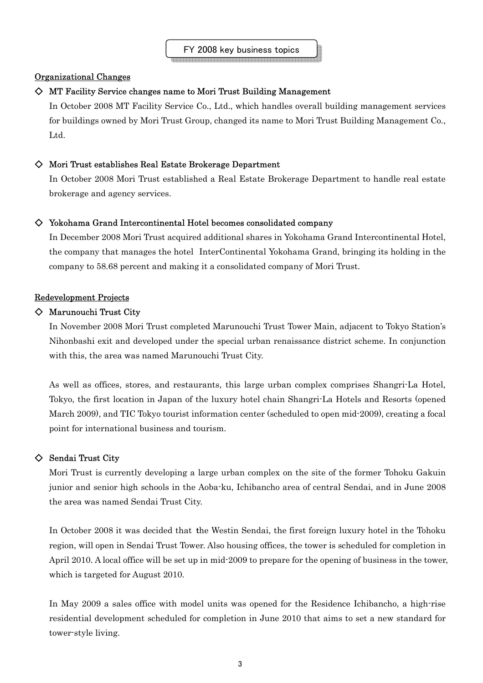## Organizational Changes

### $\diamond$  MT Facility Service changes name to Mori Trust Building Management

In October 2008 MT Facility Service Co., Ltd., which handles overall building management services for buildings owned by Mori Trust Group, changed its name to Mori Trust Building Management Co., Ltd.

## $\diamondsuit$  Mori Trust establishes Real Estate Brokerage Department

In October 2008 Mori Trust established a Real Estate Brokerage Department to handle real estate brokerage and agency services.

## $\diamondsuit$  Yokohama Grand Intercontinental Hotel becomes consolidated company

In December 2008 Mori Trust acquired additional shares in Yokohama Grand Intercontinental Hotel, the company that manages the hotel InterContinental Yokohama Grand, bringing its holding in the company to 58.68 percent and making it a consolidated company of Mori Trust.

## Redevelopment Projects

## ◇ Marunouchi Trust City

In November 2008 Mori Trust completed Marunouchi Trust Tower Main, adjacent to Tokyo Station's Nihonbashi exit and developed under the special urban renaissance district scheme. In conjunction with this, the area was named Marunouchi Trust City.

As well as offices, stores, and restaurants, this large urban complex comprises Shangri-La Hotel, Tokyo, the first location in Japan of the luxury hotel chain Shangri-La Hotels and Resorts (opened March 2009), and TIC Tokyo tourist information center (scheduled to open mid-2009), creating a focal point for international business and tourism.

#### ◇ Sendai Trust City

Mori Trust is currently developing a large urban complex on the site of the former Tohoku Gakuin junior and senior high schools in the Aoba-ku, Ichibancho area of central Sendai, and in June 2008 the area was named Sendai Trust City.

In October 2008 it was decided that the Westin Sendai, the first foreign luxury hotel in the Tohoku region, will open in Sendai Trust Tower. Also housing offices, the tower is scheduled for completion in April 2010. A local office will be set up in mid-2009 to prepare for the opening of business in the tower, which is targeted for August 2010.

In May 2009 a sales office with model units was opened for the Residence Ichibancho, a high-rise residential development scheduled for completion in June 2010 that aims to set a new standard for tower-style living.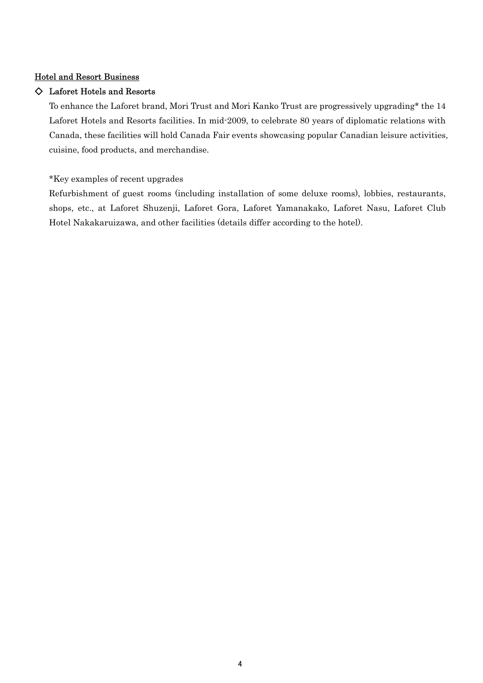## Hotel and Resort Business

## ◇ Laforet Hotels and Resorts

To enhance the Laforet brand, Mori Trust and Mori Kanko Trust are progressively upgrading\* the 14 Laforet Hotels and Resorts facilities. In mid-2009, to celebrate 80 years of diplomatic relations with Canada, these facilities will hold Canada Fair events showcasing popular Canadian leisure activities, cuisine, food products, and merchandise.

\*Key examples of recent upgrades

Refurbishment of guest rooms (including installation of some deluxe rooms), lobbies, restaurants, shops, etc., at Laforet Shuzenji, Laforet Gora, Laforet Yamanakako, Laforet Nasu, Laforet Club Hotel Nakakaruizawa, and other facilities (details differ according to the hotel).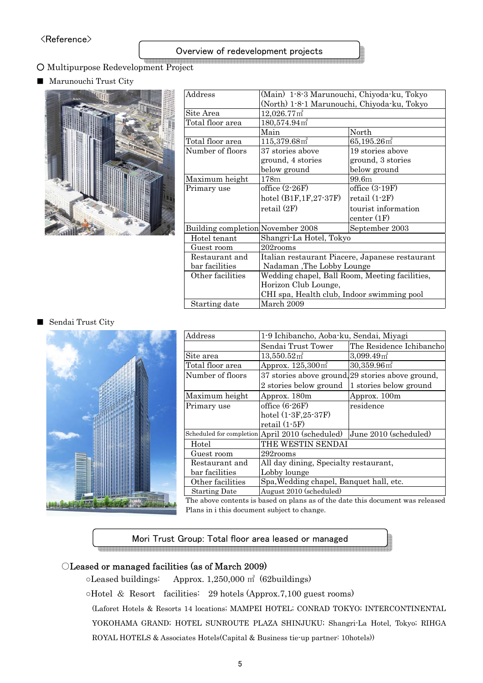## Overview of redevelopment projects

- Multipurpose Redevelopment Project
- Marunouchi Trust City



| Address<br>(Main) 1-8-3 Marunouchi, Chiyoda-ku, Tokyo |                                                 |                            |  |  |
|-------------------------------------------------------|-------------------------------------------------|----------------------------|--|--|
|                                                       | (North) 1-8-1 Marunouchi, Chiyoda-ku, Tokyo     |                            |  |  |
|                                                       |                                                 |                            |  |  |
| Site Area                                             | $12,026.77 \,\mathrm{m}^2$                      |                            |  |  |
| Total floor area                                      | $180,574.94$ m <sup>2</sup>                     |                            |  |  |
|                                                       | Main                                            | North                      |  |  |
| Total floor area                                      | 115,379.68m <sup>2</sup>                        | $65,195.26$ m <sup>2</sup> |  |  |
| Number of floors                                      | 37 stories above                                | 19 stories above           |  |  |
|                                                       | ground, 4 stories                               | ground, 3 stories          |  |  |
|                                                       | below ground                                    | below ground               |  |  |
| Maximum height                                        | 178m                                            | 99.6m                      |  |  |
| Primary use                                           | office $(2-26F)$                                | office $(3-19F)$           |  |  |
|                                                       | hotel $(B1F, 1F, 27-37F)$                       | retail $(1-2F)$            |  |  |
|                                                       | retail (2F)                                     | tourist information        |  |  |
|                                                       |                                                 | center(1F)                 |  |  |
| Building completion November 2008                     |                                                 | September 2003             |  |  |
| Hotel tenant                                          | Shangri-La Hotel, Tokyo                         |                            |  |  |
| Guest room                                            | 202rooms                                        |                            |  |  |
| Restaurant and                                        | Italian restaurant Piacere, Japanese restaurant |                            |  |  |
| bar facilities                                        | Nadaman, The Lobby Lounge                       |                            |  |  |
| Other facilities                                      | Wedding chapel, Ball Room, Meeting facilities,  |                            |  |  |
|                                                       | Horizon Club Lounge,                            |                            |  |  |
|                                                       | CHI spa, Health club, Indoor swimming pool      |                            |  |  |
| March 2009<br>Starting date                           |                                                 |                            |  |  |

#### ■ Sendai Trust City



| Address              |                                                 |                                                   |  |  |
|----------------------|-------------------------------------------------|---------------------------------------------------|--|--|
|                      | 1-9 Ichibancho, Aoba-ku, Sendai, Miyagi         |                                                   |  |  |
|                      | Sendai Trust Tower                              | The Residence Ichibancho                          |  |  |
| Site area            | $13,550.52 \,\mathrm{m}^2$                      | 3,099.49 <sup>2</sup>                             |  |  |
| Total floor area     | Approx. $125,300 \text{ m}^2$                   | $30,359.96$ m <sup>2</sup>                        |  |  |
| Number of floors     |                                                 | 37 stories above ground, 29 stories above ground, |  |  |
|                      | 2 stories below ground                          | 1 stories below ground                            |  |  |
| Maximum height       | Approx. 180m                                    | Approx. 100m                                      |  |  |
| Primary use          | office $(6-26F)$                                | residence                                         |  |  |
|                      | hotel $(1-3F, 25-37F)$                          |                                                   |  |  |
|                      | retail $(1-5F)$                                 |                                                   |  |  |
|                      | Scheduled for completion April 2010 (scheduled) | June 2010 (scheduled)                             |  |  |
| Hotel                | THE WESTIN SENDAI                               |                                                   |  |  |
| Guest room           | 292rooms                                        |                                                   |  |  |
| Restaurant and       | All day dining, Specialty restaurant,           |                                                   |  |  |
| bar facilities       | Lobby lounge                                    |                                                   |  |  |
| Other facilities     | Spa, Wedding chapel, Banquet hall, etc.         |                                                   |  |  |
| <b>Starting Date</b> | August 2010 (scheduled)                         |                                                   |  |  |

The above contents is based on plans as of the date this document was released Plans in i this document subject to change.

## Mori Trust Group: Total floor area leased or managed

#### ○Leased or managed facilities (as of March 2009)

○Leased buildings: Approx. 1,250,000 ㎡ (62buildings)

○Hotel & Resort facilities: 29 hotels (Approx.7,100 guest rooms)

(Laforet Hotels & Resorts 14 locations; MAMPEI HOTEL; CONRAD TOKYO; INTERCONTINENTAL YOKOHAMA GRAND; HOTEL SUNROUTE PLAZA SHINJUKU; Shangri-La Hotel, Tokyo; RIHGA ROYAL HOTELS & Associates Hotels(Capital & Business tie-up partner: 10hotels))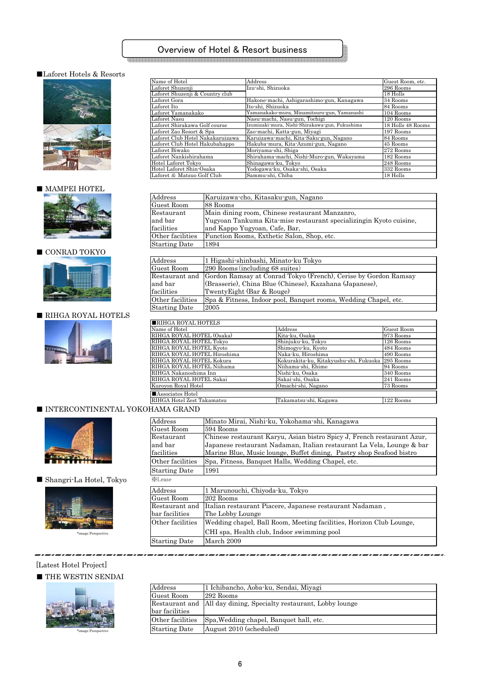## Overview of Hotel & Resort business

#### ■Laforet Hotels & Resorts



#### ■ MAMPEI HOTEL



#### $\blacksquare$  CONRAD TOKYO



## ■ RIHGA ROYAL HOTELS



| Name of Hotel                    | Address                                        | Guest Room, etc.  |
|----------------------------------|------------------------------------------------|-------------------|
| Laforet Shuzenji                 | Izu-shi, Shizuoka                              | 296 Rooms         |
| Laforet Shuzenji & Country club  |                                                | 18 Holls          |
| Laforet Gora                     | Hakone-machi, Ashigarashimo-gun, Kanagawa      | 34 Rooms          |
| Laforet Ito                      | Ito-shi, Shizuoka                              | 84 Rooms          |
| Laforet Yamanakako               | Yamanakako-mura, Minamitsuru-gun, Yamanashi    | 104 Rooms         |
| Laforet Nasu                     | Nasu-machi, Nasu-gun, Tochigi                  | 120 Rooms         |
| Laforet Shirakawa Golf course    | Izumizaki-mura, Nishi-Shirakawa-gun, Fukushima | 18 Holls 48 Rooms |
| Laforet Zao Resort & Spa         | Zao-machi, Katta-gun, Miyagi                   | 197 Rooms         |
| Laforet Club Hotel Nakakaruizawa | Karuizawa-machi, Kita-Saku-gun, Nagano         | 84 Rooms          |
| Laforet Club Hotel Hakubahappo   | Hakuba-mura, Kita-Azumi-gun, Nagano            | 45 Rooms          |
| Laforet Biwako                   | Moriyama-shi, Shiga                            | 272 Rooms         |
| Laforet Nankishirahama           | Shirahama-machi, Nishi-Muro-gun, Wakayama      | 182 Rooms         |
| Hotel Laforet Tokyo              | Shinagawa-ku, Tokyo                            | 248 Rooms         |
| Hotel Laforet Shin-Osaka         | Yodogawa-ku, Osaka-shi, Osaka                  | 332 Rooms         |
| Laforet & Matsuo Golf Club       | Sammu-shi, Chiba                               | 18 Holls          |

| $\operatorname{Address}$ | Karuizawa-cho, Kitasaku-gun, Nagano                                |
|--------------------------|--------------------------------------------------------------------|
| Guest Room               | 88 Rooms                                                           |
| Restaurant               | Main dining room, Chinese restaurant Manzanro,                     |
| and bar                  | Yugyoan Tankuma Kita-mise restaurant specializingin Kyoto cuisine. |
| facilities               | and Kappo Yugyoan, Cafe, Bar,                                      |
| Other facilities         | Function Rooms, Exthetic Salon, Shop, etc.                         |
| <b>Starting Date</b>     | 1894                                                               |
|                          |                                                                    |

| Address              | 1 Higashi-shinbashi, Minato-ku Tokyo                                           |
|----------------------|--------------------------------------------------------------------------------|
| Guest Room           | 290 Rooms (including 68 suites)                                                |
|                      | Restaurant and Gordon Ramsay at Conrad Tokyo (French), Cerise by Gordon Ramsay |
| and bar              | (Brasserie), China Blue (Chinese), Kazahana (Japanese),                        |
| facilities           | TwentyEight (Bar & Rouge)                                                      |
| Other facilities     | Spa & Fitness, Indoor pool, Banquet rooms, Wedding Chapel, etc.                |
| <b>Starting Date</b> | 2005                                                                           |
|                      |                                                                                |

#### ■RIHGA ROYAL HOTELS

| I∎KIHGA KOYAL HOTELS        |                                        |             |  |  |
|-----------------------------|----------------------------------------|-------------|--|--|
| Name of Hotel               | Address                                | Guest Room  |  |  |
| RIHGA ROYAL HOTEL (Osaka)   | Kita-ku, Osaka                         | 973 Rooms   |  |  |
| RIHGA ROYAL HOTEL Tokyo     | Shinjuku-ku, Tokyo                     | 126 Rooms   |  |  |
| RIHGA ROYAL HOTEL Kyoto     | Shimogyo-ku, Kyoto                     | 484 Rooms   |  |  |
| RIHGA ROYAL HOTEL Hiroshima | Naka-ku, Hiroshima                     | 490 Rooms   |  |  |
| RIHGA ROYAL HOTEL Kokura    | Kokurakita-ku, Kitakyushu-shi, Fukuoka | $295$ Rooms |  |  |
| RIHGA ROYAL HOTEL Niihama   | Niihama-shi, Ehime                     | 94 Rooms    |  |  |
| RIHGA Nakanoshima Inn       | Nishi-ku, Osaka                        | 340 Rooms   |  |  |
| RIHGA ROYAL HOTEL Sakai     | Sakai-shi, Osaka                       | 241 Rooms   |  |  |
| Kuroyon Royal Hotel         | Omachi-shi, Nagano                     | 73 Rooms    |  |  |
| Associates Hotel            |                                        |             |  |  |
| RIHGA Hotel Zest Takamatsu  | Takamatsu-shi, Kagawa                  | 122 Rooms   |  |  |

#### ■ INTERCONTINENTAL YOKOHAMA GRAND



 $\blacksquare$  Shangri-La Hotel, Tokyo



| Address<br>Minato Mirai, Nishi-ku, Yokohama-shi, Kanagawa |                                                                         |  |  |
|-----------------------------------------------------------|-------------------------------------------------------------------------|--|--|
| Guest Room                                                | 594 Rooms                                                               |  |  |
| Restaurant                                                | Chinese restaurant Karyu, Asian bistro Spicy J, French restaurant Azur, |  |  |
| and bar                                                   | Japanese restaurant Nadaman, Italian restaurant La Vela, Lounge & bar   |  |  |
| facilities                                                | Marine Blue, Music lounge, Buffet dining, Pastry shop Seafood bistro    |  |  |
| Other facilities                                          | Spa, Fitness, Banquet Halls, Wedding Chapel, etc.                       |  |  |
| <b>Starting Date</b>                                      | 1991                                                                    |  |  |
| <b>XLease</b>                                             |                                                                         |  |  |
| Address                                                   | 1 Marunouchi, Chiyoda-ku, Tokyo                                         |  |  |
| Guest Room                                                | 202 Rooms                                                               |  |  |
| Restaurant and                                            | Italian restaurant Piacere, Japanese restaurant Nadaman,                |  |  |
| bar facilities                                            | The Lobby Lounge                                                        |  |  |
| Other facilities                                          | Wedding chapel, Ball Room, Meeting facilities, Horizon Club Lounge,     |  |  |
|                                                           | CHI spa, Health club, Indoor swimming pool                              |  |  |
| <b>Starting Date</b>                                      | March 2009                                                              |  |  |

#### [Latest Hotel Project]

#### $\blacksquare$  <br> THE WESTIN SENDAI



| Address              | 1 Ichibancho, Aoba-ku, Sendai, Miyagi                             |
|----------------------|-------------------------------------------------------------------|
| Guest Room           | 292 Rooms                                                         |
|                      | Restaurant and All day dining, Specialty restaurant, Lobby lounge |
| bar facilities       |                                                                   |
| Other facilities     | Spa, Wedding chapel, Banquet hall, etc.                           |
| <b>Starting Date</b> | August 2010 (scheduled)                                           |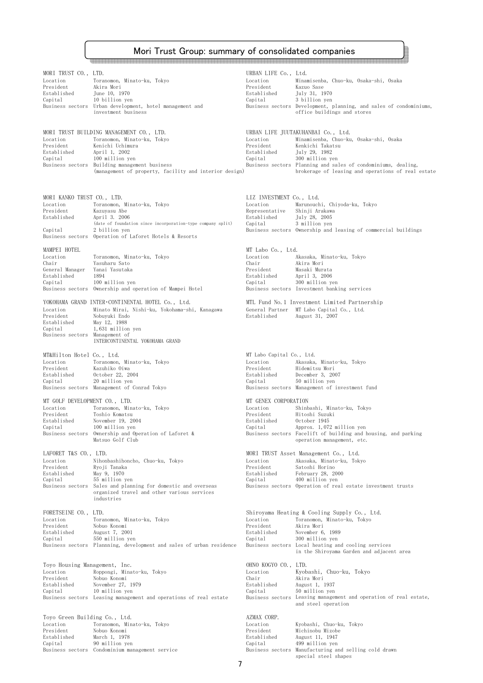# Mori Trust Group: summary of consolidated companies

| MORI TRUST CO., LTD.<br>Location<br>President<br>Established<br>Capital                      | Toranomon, Minato-ku, Tokyo<br>Akira Mori<br>June 10, 1970<br>10 billion yen<br>Business sectors Urban development, hotel management and<br>investment business                                                           | URBAN LIFE Co., Ltd.<br>Location<br>President<br>Established<br>Capital          | Minamisenba, Chuo-ku, Osaka-shi, Osaka<br>Kazuo Sase<br>July 31, 1970<br>3 billion yen<br>Business sectors Development, planning, and sales of condominiums,<br>office buildings and stores                                                                 |
|----------------------------------------------------------------------------------------------|---------------------------------------------------------------------------------------------------------------------------------------------------------------------------------------------------------------------------|----------------------------------------------------------------------------------|-------------------------------------------------------------------------------------------------------------------------------------------------------------------------------------------------------------------------------------------------------------|
| Location<br>President<br>Established<br>Capital<br>Business sectors                          | MORI TRUST BUILDING MANAGEMENT CO., LTD.<br>Toranomon, Minato-ku, Tokyo<br>Kenichi Uchimura<br>April 1, 2002<br>100 million yen<br>Building management business<br>(management of property, facility and interior design) | Location<br>President<br>Established<br>Capital                                  | URBAN LIFE JUUTAKUHANBAI Co., Ltd.<br>Minamisenba, Chuo-ku, Osaka-shi, Osaka<br>Kenkichi Takatsu<br>July 29, 1982<br>300 million yen<br>Business sectors Planning and sales of condominiums, dealing,<br>brokerage of leasing and operations of real estate |
|                                                                                              |                                                                                                                                                                                                                           |                                                                                  |                                                                                                                                                                                                                                                             |
| MORI KANKO TRUST CO., LTD.<br>Location<br>President<br>Established<br>Capital                | Toranomon, Minato-ku, Tokyo<br>Kazuyasu Abe<br>April 3. 2006<br>(date of foundation since incorporation-type company split)<br>2 billion yen<br>Business sectors Operation of Laforet Hotels & Resorts                    | LIZ INVESTMENT Co., Ltd.<br>Location<br>Representative<br>Established<br>Capital | Marunouchi, Chiyoda-ku, Tokyo<br>Shinji Arakawa<br>July 28, 2005<br>3 million yen<br>Business sectors Ownership and leasing of commercial buildings                                                                                                         |
| MAMPEI HOTEL<br>Location<br>Chair<br>General Manager<br>Established<br>Capital               | Toranomon, Minato-ku, Tokyo<br>Yasuharu Sato<br>Yanai Yasutaka<br>1894<br>100 million yen<br>Business sectors Ownership and operation of Mampei Hotel                                                                     | MT Labo Co., Ltd.<br>Location<br>Chair<br>President<br>Established<br>Capital    | Akasaka, Minato-ku, Tokyo<br>Akira Mori<br>Masaki Murata<br>April 3, 2006<br>300 million yen<br>Business sectors Investment banking services                                                                                                                |
| Location<br>President<br>Established<br>Capital<br>Business sectors Management of            | YOKOHAMA GRAND INTER CONTINENTAL HOTEL Co., Ltd.<br>Minato Mirai, Nishi-ku, Yokohama-shi, Kanagawa<br>Nobuyuki Endo<br>May 12, 1988<br>1,631 million yen<br>INTERCONTINENTAL YOKOHAMA GRAND                               | General Partner<br>Established                                                   | MTL Fund No.1 Investment Limited Partnership<br>MT Labo Capital Co., Ltd.<br>August 31, 2007                                                                                                                                                                |
| MT&Hilton Hotel Co., Ltd.<br>Location<br>President<br>Established<br>Capital                 | Toranomon, Minato-ku, Tokyo<br>Kazuhiko Oiwa<br>October 22, 2004<br>20 million yen<br>Business sectors Management of Conrad Tokyo                                                                                         | MT Labo Capital Co., Ltd.<br>Location<br>President<br>Established<br>Capital     | Akasaka, Minato-ku, Tokyo<br>Hidemitsu Mori<br>December 3, 2007<br>50 million yen<br>Business sectors Management of investment fund                                                                                                                         |
| MT GOLF DEVELOPMENT CO., LTD.<br>Location<br>President<br>Established<br>Capital             | Toranomon, Minato-ku, Tokyo<br>Toshio Komatsu<br>November 19, 2004<br>100 million yen<br>Business sectors Ownership and Operation of Laforet &<br>Matsuo Golf Club                                                        | MT GENEX CORPORATION<br>Location<br>President<br>Established<br>Capital          | Shinbashi, Minato-ku, Tokyo<br>Hitoshi Suzuki<br>October 1945<br>Approx. 1,072 million ven<br>Business sectors Facelift of building and housing, and parking<br>operation management, etc.                                                                  |
| LAFORET T&S CO., LTD.<br>Location<br>President<br>Established<br>Capital<br>Business sectors | Nihonbashihoncho, Chuo-ku, Tokyo<br>Ryoji Tanaka<br>May 9, 1970<br>55 million yen<br>Sales and planning for domestic and overseas<br>organized travel and other various services<br>industries                            | Location<br>President<br>Established<br>Capital                                  | MORI TRUST Asset Management Co., Ltd.<br>Akasaka, Minato-ku, Tokyo<br>Satoshi Horino<br>February 28, 2000<br>400 million yen<br>Business sectors Operation of real estate investment trusts                                                                 |
| FORETSEINE CO., LTD.<br>Location<br>President<br>Established<br>Capital                      | Toranomon, Minato-ku, Tokyo<br>Nobuo Konomi<br>August 7, 2001<br>550 million yen<br>Business sectors Plannning, development and sales of urban residence                                                                  | Location<br>President<br>Established<br>Capital                                  | Shiroyama Heating & Cooling Supply Co., Ltd.<br>Toranomon, Minato-ku, Tokyo<br>Akira Mori<br>November 6, 1989<br>300 million yen<br>Business sectors Local heating and cooling services<br>in the Shiroyama Garden and adjacent area                        |
| Toyo Housing Management, Inc.<br>Location<br>President<br>Established<br>Capital             | Roppongi, Minato-ku, Tokyo<br>Nobuo Konomi<br>November 27, 1979<br>10 million yen<br>Business sectors Leasing management and operations of real estate                                                                    | OHNO KOGYO CO., LTD.<br>Location<br>Chair<br>Established<br>Capital              | Kyobashi, Chuo-ku, Tokyo<br>Akira Mori<br>August 1, 1937<br>50 million yen<br>Business sectors Leasing management and operation of real estate,<br>and steel operation                                                                                      |
| Toyo Green Building Co., Ltd.<br>Location<br>President<br>Established<br>Capital             | Toranomon, Minato-ku, Tokyo<br>Nobuo Konomi<br>March 1, 1978<br>90 million yen<br>Business sectors Condominium management service                                                                                         | AZMAX CORP.<br>Location<br>President<br>Established<br>Capital                   | Kyobashi, Chuo-ku, Tokyo<br>Michinobu Mizobe<br>August 11, 1947<br>499 million yen<br>Business sectors Manufacturing and selling cold drawn<br>special steel shapes                                                                                         |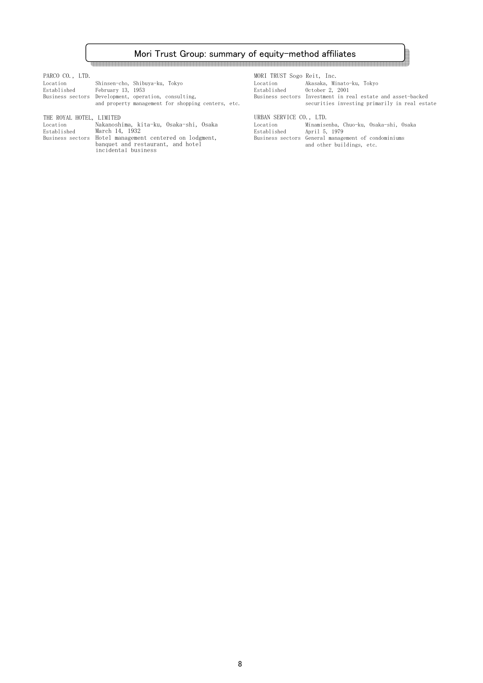## Mori Trust Group: summary of equity-method affiliates

| PARCO CO., LTD. |                                                      |                                                    | MORI TRUST Sogo Reit, Inc. |                                                                                                           |
|-----------------|------------------------------------------------------|----------------------------------------------------|----------------------------|-----------------------------------------------------------------------------------------------------------|
| Location        | Shinsen-cho, Shibuya-ku, Tokyo                       |                                                    | Location                   | Akasaka, Minato-ku, Tokvo                                                                                 |
| Established     | February 13, 1953                                    |                                                    | Established                | October 2, 2001                                                                                           |
|                 | Business sectors Development, operation, consulting, | and property management for shopping centers, etc. |                            | Business sectors Investment in real estate and asset-backed<br>securities investing primarily in real est |

THE ROYAL HOTEL, LIMITED

| Location    | Nakanoshima, kita-ku, Osaka-shi, Osaka                  | Location    | Minamisenba, Chuo-ku, Osaka-shi, Osaka              |
|-------------|---------------------------------------------------------|-------------|-----------------------------------------------------|
| Established | March 14, 1932                                          | Established | April 5, 1979                                       |
|             | Business sectors Hotel management centered on lodgment, |             | Business sectors General management of condominiums |
|             | banquet and restaurant, and hotel                       |             | and other buildings, etc.                           |
|             | incidental business                                     |             |                                                     |

<br>제품은 조직 등을 보호하고 있습니다.<br>제품은 조직 등을 보호하고 있습니다.

| Shinsen-cho, Shibuya-ku, Tokyo<br>Februarv 13. 1953<br>Development, operation, consulting,<br>and property management for shopping centers, etc. | MORI TRUST Sogo Reit, Inc.<br>Location<br>Established | Akasaka, Minato-ku, Tokvo<br>October 2, 2001<br>Business sectors Investment in real estate and asset-backed<br>securities investing primarily in real estate |
|--------------------------------------------------------------------------------------------------------------------------------------------------|-------------------------------------------------------|--------------------------------------------------------------------------------------------------------------------------------------------------------------|
| LIMITED.                                                                                                                                         | URBAN SERVICE CO., LTD.                               |                                                                                                                                                              |

120000000000000000000000

8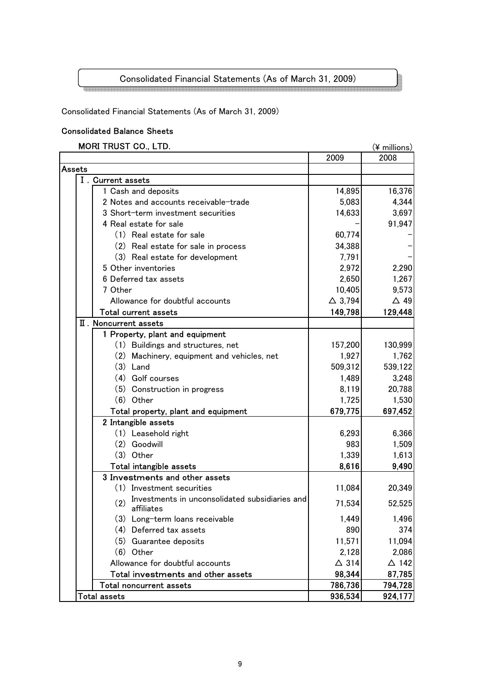# Consolidated Financial Statements (As of March 31, 2009)

Consolidated Financial Statements (As of March 31, 2009)

## Consolidated Balance Sheets

## MORI TRUST CO., LTD.  $(\frac{1}{2} \text{ millions})$

|               |                                                                     | 2009              | , כווטווווווד ד<br>2008 |
|---------------|---------------------------------------------------------------------|-------------------|-------------------------|
| <b>Assets</b> |                                                                     |                   |                         |
|               | I. Current assets                                                   |                   |                         |
|               | 1 Cash and deposits                                                 | 14,895            | 16,376                  |
|               | 2 Notes and accounts receivable-trade                               | 5,083             | 4,344                   |
|               | 3 Short-term investment securities                                  | 14,633            | 3,697                   |
|               | 4 Real estate for sale                                              |                   | 91,947                  |
|               | (1) Real estate for sale                                            | 60,774            |                         |
|               | (2) Real estate for sale in process                                 | 34,388            |                         |
|               | (3) Real estate for development                                     | 7,791             |                         |
|               | 5 Other inventories                                                 | 2,972             | 2,290                   |
|               | 6 Deferred tax assets                                               | 2,650             | 1,267                   |
|               | 7 Other                                                             | 10,405            | 9,573                   |
|               | Allowance for doubtful accounts                                     | $\triangle$ 3,794 | $\triangle$ 49          |
|               | <b>Total current assets</b>                                         | 149,798           | 129,448                 |
|               | II. Noncurrent assets                                               |                   |                         |
|               | 1 Property, plant and equipment                                     |                   |                         |
|               | (1) Buildings and structures, net                                   | 157,200           | 130,999                 |
|               | (2) Machinery, equipment and vehicles, net                          | 1,927             | 1,762                   |
|               | $(3)$ Land                                                          | 509,312           | 539,122                 |
|               | (4) Golf courses                                                    | 1,489             | 3,248                   |
|               | (5) Construction in progress                                        | 8,119             | 20,788                  |
|               | $(6)$ Other                                                         | 1,725             | 1,530                   |
|               | Total property, plant and equipment                                 | 679,775           | 697,452                 |
|               | 2 Intangible assets                                                 |                   |                         |
|               | (1) Leasehold right                                                 | 6,293             | 6,366                   |
|               | (2) Goodwill                                                        | 983               | 1,509                   |
|               | $(3)$ Other                                                         | 1,339             | 1,613                   |
|               | Total intangible assets                                             | 8,616             | 9,490                   |
|               | 3 Investments and other assets                                      |                   |                         |
|               | (1) Investment securities                                           | 11,084            | 20,349                  |
|               | Investments in unconsolidated subsidiaries and<br>(2)<br>affiliates | 71,534            | 52,525                  |
|               | (3) Long-term loans receivable                                      | 1,449             | 1,496                   |
|               | (4) Deferred tax assets                                             | 890               | 374                     |
|               | (5) Guarantee deposits                                              | 11,571            | 11,094                  |
|               | $(6)$ Other                                                         | 2,128             | 2,086                   |
|               | Allowance for doubtful accounts                                     | $\triangle$ 314   | $\Delta$ 142            |
|               | Total investments and other assets                                  | 98,344            | 87,785                  |
|               | Total noncurrent assets                                             | 786,736           | 794,728                 |
|               | <b>Total assets</b>                                                 | 936,534           | 924,177                 |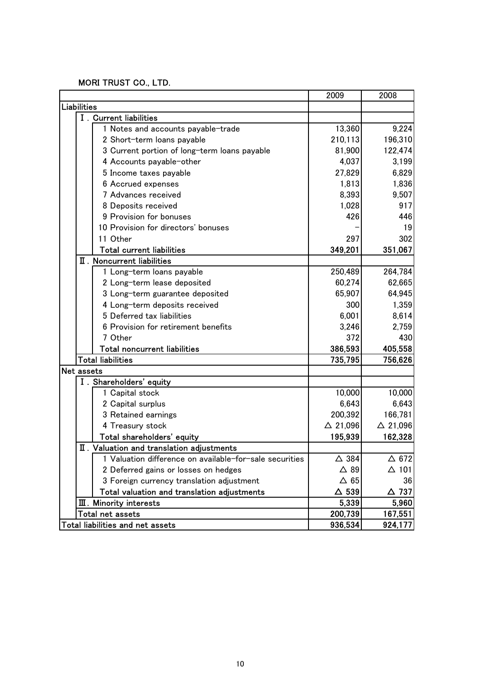## MORI TRUST CO., LTD.

|                                                         | 2009               | 2008               |
|---------------------------------------------------------|--------------------|--------------------|
| <b>Liabilities</b>                                      |                    |                    |
| I. Current liabilities                                  |                    |                    |
| 1 Notes and accounts payable-trade                      | 13,360             | 9,224              |
| 2 Short-term loans payable                              | 210,113            | 196,310            |
| 3 Current portion of long-term loans payable            | 81,900             | 122,474            |
| 4 Accounts payable-other                                | 4,037              | 3,199              |
| 5 Income taxes payable                                  | 27,829             | 6,829              |
| 6 Accrued expenses                                      | 1,813              | 1,836              |
| 7 Advances received                                     | 8,393              | 9,507              |
| 8 Deposits received                                     | 1,028              | 917                |
| 9 Provision for bonuses                                 | 426                | 446                |
| 10 Provision for directors' bonuses                     |                    | 19                 |
| 11 Other                                                | 297                | 302                |
| <b>Total current liabilities</b>                        | 349,201            | 351,067            |
| II. Noncurrent liabilities                              |                    |                    |
| 1 Long-term loans payable                               | 250,489            | 264,784            |
| 2 Long-term lease deposited                             | 60,274             | 62,665             |
| 3 Long-term guarantee deposited                         | 65,907             | 64,945             |
| 4 Long-term deposits received                           | 300                | 1,359              |
| 5 Deferred tax liabilities                              | 6,001              | 8,614              |
| 6 Provision for retirement benefits                     | 3,246              | 2,759              |
| 7 Other                                                 | 372                | 430                |
| <b>Total noncurrent liabilities</b>                     | 386,593            | 405,558            |
| <b>Total liabilities</b>                                | 735,795            | 756,626            |
| <b>Net assets</b>                                       |                    |                    |
| I. Shareholders' equity                                 |                    |                    |
| 1 Capital stock                                         | 10,000             | 10,000             |
| 2 Capital surplus                                       | 6,643              | 6,643              |
| 3 Retained earnings                                     | 200,392            | 166,781            |
| 4 Treasury stock                                        | $\triangle$ 21,096 | $\triangle$ 21,096 |
| Total shareholders' equity                              | 195,939            | 162,328            |
| II. Valuation and translation adjustments               |                    |                    |
| 1 Valuation difference on available-for-sale securities | $\triangle$ 384    | $\Delta$ 672       |
| 2 Deferred gains or losses on hedges                    | $\triangle$ 89     | $\Delta$ 101       |
| 3 Foreign currency translation adjustment               | $\Delta$ 65        | 36                 |
| Total valuation and translation adjustments             | $\Delta$ 539       | △ 737              |
| $\mathbf I$ . Minority interests                        | 5,339              | 5,960              |
| Total net assets                                        | 200,739            | 167,551            |
| Total liabilities and net assets                        | 936,534            | 924,177            |